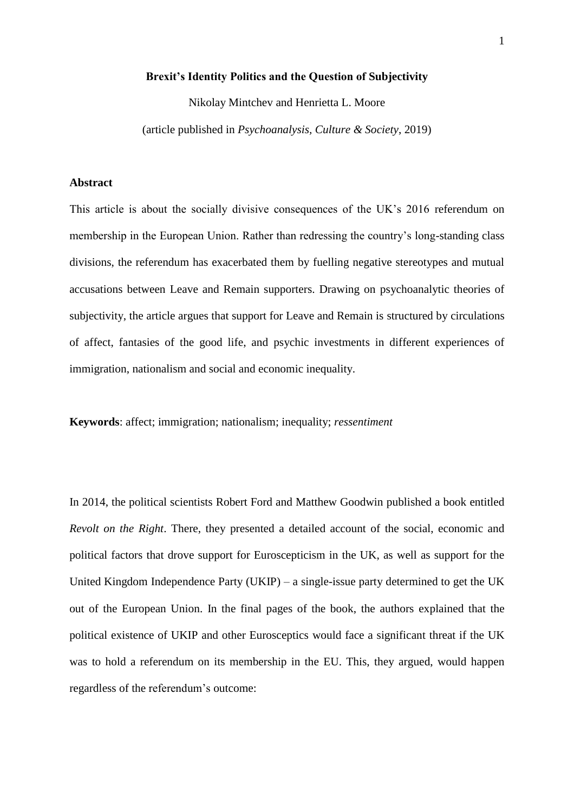#### **Brexit's Identity Politics and the Question of Subjectivity**

Nikolay Mintchev and Henrietta L. Moore

(article published in *Psychoanalysis, Culture & Society*, 2019)

# **Abstract**

This article is about the socially divisive consequences of the UK's 2016 referendum on membership in the European Union. Rather than redressing the country's long-standing class divisions, the referendum has exacerbated them by fuelling negative stereotypes and mutual accusations between Leave and Remain supporters. Drawing on psychoanalytic theories of subjectivity, the article argues that support for Leave and Remain is structured by circulations of affect, fantasies of the good life, and psychic investments in different experiences of immigration, nationalism and social and economic inequality.

**Keywords**: affect; immigration; nationalism; inequality; *ressentiment*

In 2014, the political scientists Robert Ford and Matthew Goodwin published a book entitled *Revolt on the Right*. There, they presented a detailed account of the social, economic and political factors that drove support for Euroscepticism in the UK, as well as support for the United Kingdom Independence Party (UKIP) – a single-issue party determined to get the UK out of the European Union. In the final pages of the book, the authors explained that the political existence of UKIP and other Eurosceptics would face a significant threat if the UK was to hold a referendum on its membership in the EU. This, they argued, would happen regardless of the referendum's outcome: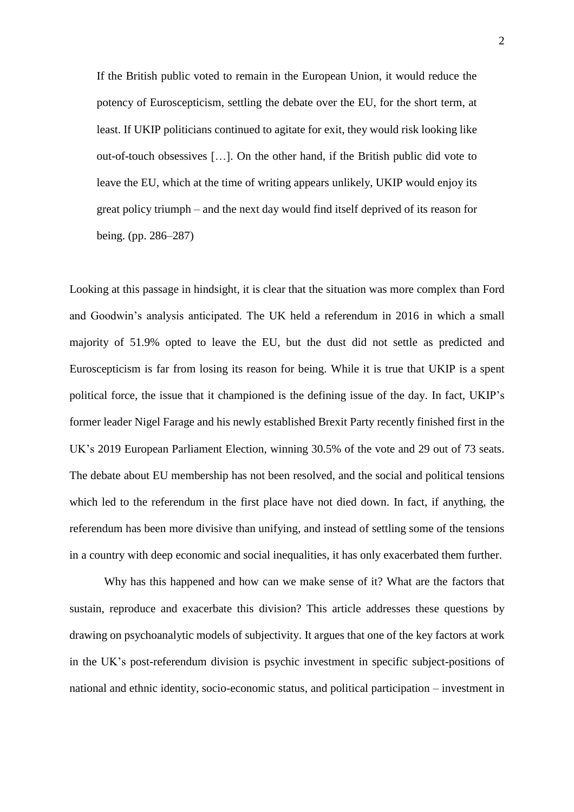If the British public voted to remain in the European Union, it would reduce the potency of Euroscepticism, settling the debate over the EU, for the short term, at least. If UKIP politicians continued to agitate for exit, they would risk looking like out-of-touch obsessives […]. On the other hand, if the British public did vote to leave the EU, which at the time of writing appears unlikely, UKIP would enjoy its great policy triumph – and the next day would find itself deprived of its reason for being. (pp. 286–287)

Looking at this passage in hindsight, it is clear that the situation was more complex than Ford and Goodwin's analysis anticipated. The UK held a referendum in 2016 in which a small majority of 51.9% opted to leave the EU, but the dust did not settle as predicted and Euroscepticism is far from losing its reason for being. While it is true that UKIP is a spent political force, the issue that it championed is the defining issue of the day. In fact, UKIP's former leader Nigel Farage and his newly established Brexit Party recently finished first in the UK's 2019 European Parliament Election, winning 30.5% of the vote and 29 out of 73 seats. The debate about EU membership has not been resolved, and the social and political tensions which led to the referendum in the first place have not died down. In fact, if anything, the referendum has been more divisive than unifying, and instead of settling some of the tensions in a country with deep economic and social inequalities, it has only exacerbated them further.

Why has this happened and how can we make sense of it? What are the factors that sustain, reproduce and exacerbate this division? This article addresses these questions by drawing on psychoanalytic models of subjectivity. It argues that one of the key factors at work in the UK's post-referendum division is psychic investment in specific subject-positions of national and ethnic identity, socio-economic status, and political participation – investment in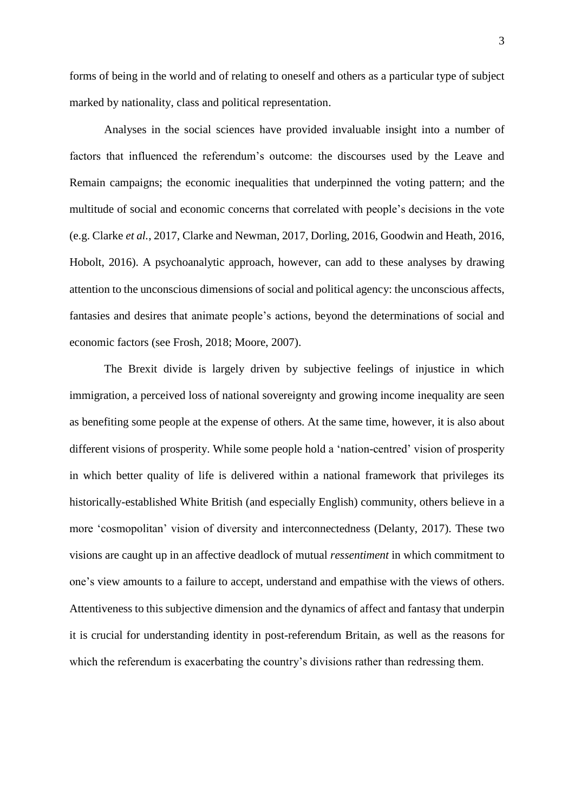forms of being in the world and of relating to oneself and others as a particular type of subject marked by nationality, class and political representation.

Analyses in the social sciences have provided invaluable insight into a number of factors that influenced the referendum's outcome: the discourses used by the Leave and Remain campaigns; the economic inequalities that underpinned the voting pattern; and the multitude of social and economic concerns that correlated with people's decisions in the vote (e.g. Clarke *et al.*, 2017, Clarke and Newman, 2017, Dorling, 2016, Goodwin and Heath, 2016, Hobolt, 2016). A psychoanalytic approach, however, can add to these analyses by drawing attention to the unconscious dimensions of social and political agency: the unconscious affects, fantasies and desires that animate people's actions, beyond the determinations of social and economic factors (see Frosh, 2018; Moore, 2007).

The Brexit divide is largely driven by subjective feelings of injustice in which immigration, a perceived loss of national sovereignty and growing income inequality are seen as benefiting some people at the expense of others. At the same time, however, it is also about different visions of prosperity. While some people hold a 'nation-centred' vision of prosperity in which better quality of life is delivered within a national framework that privileges its historically-established White British (and especially English) community, others believe in a more 'cosmopolitan' vision of diversity and interconnectedness (Delanty, 2017). These two visions are caught up in an affective deadlock of mutual *ressentiment* in which commitment to one's view amounts to a failure to accept, understand and empathise with the views of others. Attentiveness to this subjective dimension and the dynamics of affect and fantasy that underpin it is crucial for understanding identity in post-referendum Britain, as well as the reasons for which the referendum is exacerbating the country's divisions rather than redressing them.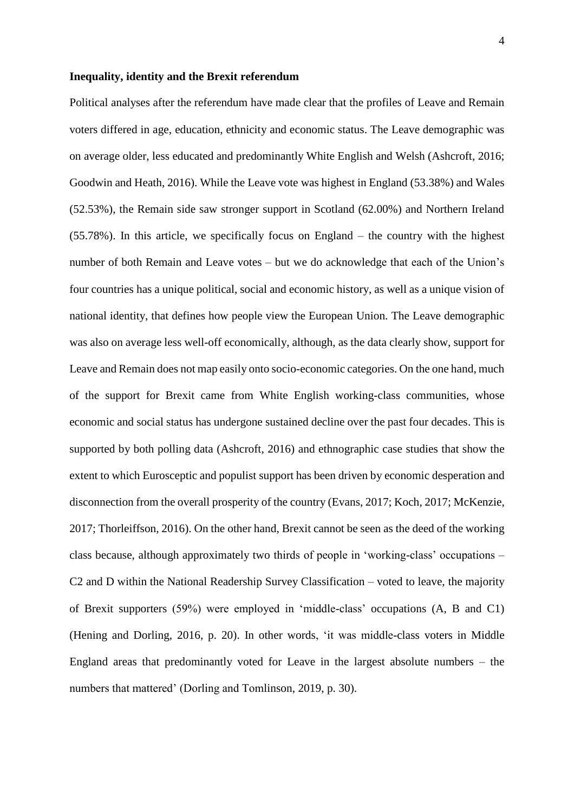#### **Inequality, identity and the Brexit referendum**

Political analyses after the referendum have made clear that the profiles of Leave and Remain voters differed in age, education, ethnicity and economic status. The Leave demographic was on average older, less educated and predominantly White English and Welsh (Ashcroft, 2016; Goodwin and Heath, 2016). While the Leave vote was highest in England (53.38%) and Wales (52.53%), the Remain side saw stronger support in Scotland (62.00%) and Northern Ireland (55.78%). In this article, we specifically focus on England – the country with the highest number of both Remain and Leave votes – but we do acknowledge that each of the Union's four countries has a unique political, social and economic history, as well as a unique vision of national identity, that defines how people view the European Union. The Leave demographic was also on average less well-off economically, although, as the data clearly show, support for Leave and Remain does not map easily onto socio-economic categories. On the one hand, much of the support for Brexit came from White English working-class communities, whose economic and social status has undergone sustained decline over the past four decades. This is supported by both polling data (Ashcroft, 2016) and ethnographic case studies that show the extent to which Eurosceptic and populist support has been driven by economic desperation and disconnection from the overall prosperity of the country (Evans, 2017; Koch, 2017; McKenzie, 2017; Thorleiffson, 2016). On the other hand, Brexit cannot be seen as the deed of the working class because, although approximately two thirds of people in 'working-class' occupations – C2 and D within the National Readership Survey Classification – voted to leave, the majority of Brexit supporters (59%) were employed in 'middle-class' occupations (A, B and C1) (Hening and Dorling, 2016, p. 20). In other words, 'it was middle-class voters in Middle England areas that predominantly voted for Leave in the largest absolute numbers – the numbers that mattered' (Dorling and Tomlinson, 2019, p. 30).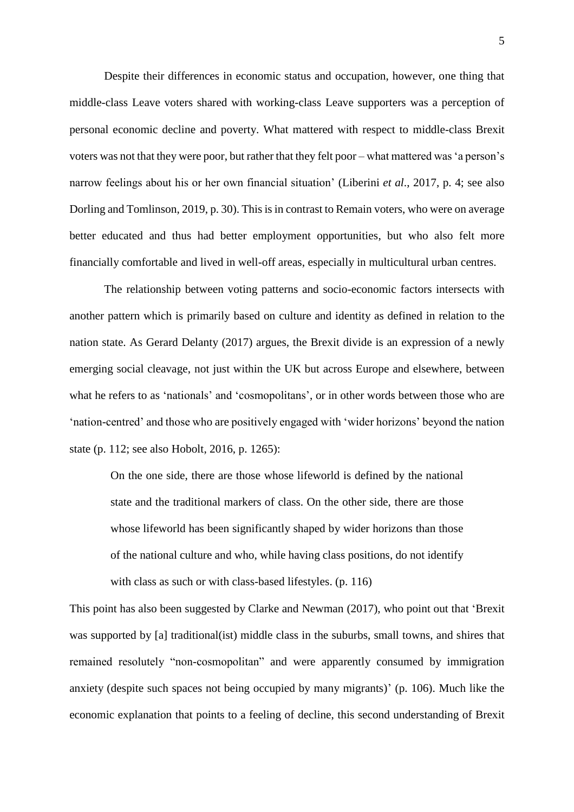Despite their differences in economic status and occupation, however, one thing that middle-class Leave voters shared with working-class Leave supporters was a perception of personal economic decline and poverty. What mattered with respect to middle-class Brexit voters was not that they were poor, but rather that they felt poor – what mattered was 'a person's narrow feelings about his or her own financial situation' (Liberini *et al*., 2017, p. 4; see also Dorling and Tomlinson, 2019, p. 30). This is in contrast to Remain voters, who were on average better educated and thus had better employment opportunities, but who also felt more financially comfortable and lived in well-off areas, especially in multicultural urban centres.

The relationship between voting patterns and socio-economic factors intersects with another pattern which is primarily based on culture and identity as defined in relation to the nation state. As Gerard Delanty (2017) argues, the Brexit divide is an expression of a newly emerging social cleavage, not just within the UK but across Europe and elsewhere, between what he refers to as 'nationals' and 'cosmopolitans', or in other words between those who are 'nation-centred' and those who are positively engaged with 'wider horizons' beyond the nation state (p. 112; see also Hobolt, 2016, p. 1265):

On the one side, there are those whose lifeworld is defined by the national state and the traditional markers of class. On the other side, there are those whose lifeworld has been significantly shaped by wider horizons than those of the national culture and who, while having class positions, do not identify with class as such or with class-based lifestyles. (p. 116)

This point has also been suggested by Clarke and Newman (2017), who point out that 'Brexit was supported by [a] traditional(ist) middle class in the suburbs, small towns, and shires that remained resolutely "non-cosmopolitan" and were apparently consumed by immigration anxiety (despite such spaces not being occupied by many migrants)' (p. 106). Much like the economic explanation that points to a feeling of decline, this second understanding of Brexit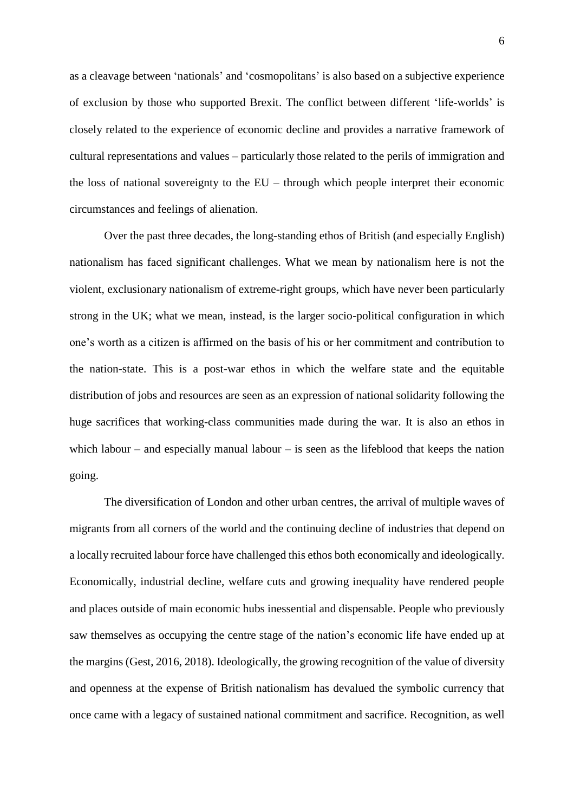as a cleavage between 'nationals' and 'cosmopolitans' is also based on a subjective experience of exclusion by those who supported Brexit. The conflict between different 'life-worlds' is closely related to the experience of economic decline and provides a narrative framework of cultural representations and values – particularly those related to the perils of immigration and the loss of national sovereignty to the EU – through which people interpret their economic circumstances and feelings of alienation.

Over the past three decades, the long-standing ethos of British (and especially English) nationalism has faced significant challenges. What we mean by nationalism here is not the violent, exclusionary nationalism of extreme-right groups, which have never been particularly strong in the UK; what we mean, instead, is the larger socio-political configuration in which one's worth as a citizen is affirmed on the basis of his or her commitment and contribution to the nation-state. This is a post-war ethos in which the welfare state and the equitable distribution of jobs and resources are seen as an expression of national solidarity following the huge sacrifices that working-class communities made during the war. It is also an ethos in which labour – and especially manual labour – is seen as the lifeblood that keeps the nation going.

The diversification of London and other urban centres, the arrival of multiple waves of migrants from all corners of the world and the continuing decline of industries that depend on a locally recruited labour force have challenged this ethos both economically and ideologically. Economically, industrial decline, welfare cuts and growing inequality have rendered people and places outside of main economic hubs inessential and dispensable. People who previously saw themselves as occupying the centre stage of the nation's economic life have ended up at the margins (Gest, 2016, 2018). Ideologically, the growing recognition of the value of diversity and openness at the expense of British nationalism has devalued the symbolic currency that once came with a legacy of sustained national commitment and sacrifice. Recognition, as well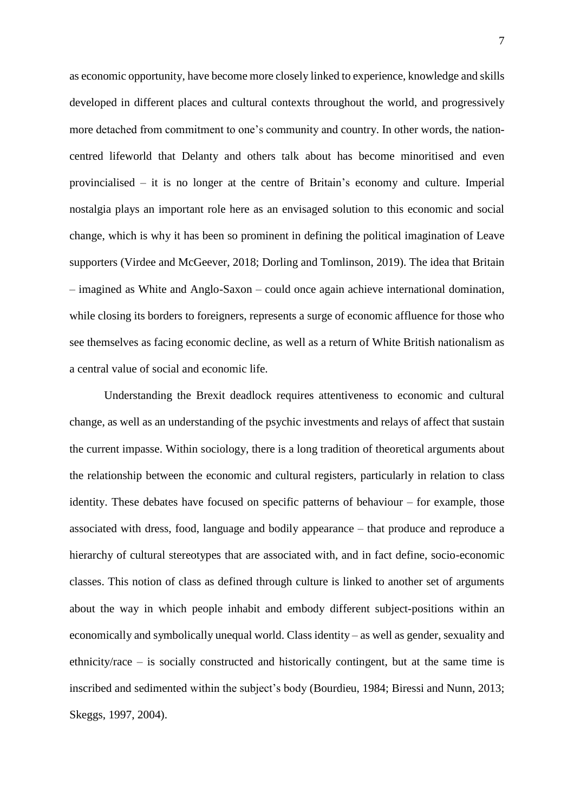as economic opportunity, have become more closely linked to experience, knowledge and skills developed in different places and cultural contexts throughout the world, and progressively more detached from commitment to one's community and country. In other words, the nationcentred lifeworld that Delanty and others talk about has become minoritised and even provincialised – it is no longer at the centre of Britain's economy and culture. Imperial nostalgia plays an important role here as an envisaged solution to this economic and social change, which is why it has been so prominent in defining the political imagination of Leave supporters (Virdee and McGeever, 2018; Dorling and Tomlinson, 2019). The idea that Britain – imagined as White and Anglo-Saxon – could once again achieve international domination, while closing its borders to foreigners, represents a surge of economic affluence for those who see themselves as facing economic decline, as well as a return of White British nationalism as a central value of social and economic life.

Understanding the Brexit deadlock requires attentiveness to economic and cultural change, as well as an understanding of the psychic investments and relays of affect that sustain the current impasse. Within sociology, there is a long tradition of theoretical arguments about the relationship between the economic and cultural registers, particularly in relation to class identity. These debates have focused on specific patterns of behaviour – for example, those associated with dress, food, language and bodily appearance – that produce and reproduce a hierarchy of cultural stereotypes that are associated with, and in fact define, socio-economic classes. This notion of class as defined through culture is linked to another set of arguments about the way in which people inhabit and embody different subject-positions within an economically and symbolically unequal world. Class identity – as well as gender, sexuality and ethnicity/race – is socially constructed and historically contingent, but at the same time is inscribed and sedimented within the subject's body (Bourdieu, 1984; Biressi and Nunn, 2013; Skeggs, 1997, 2004).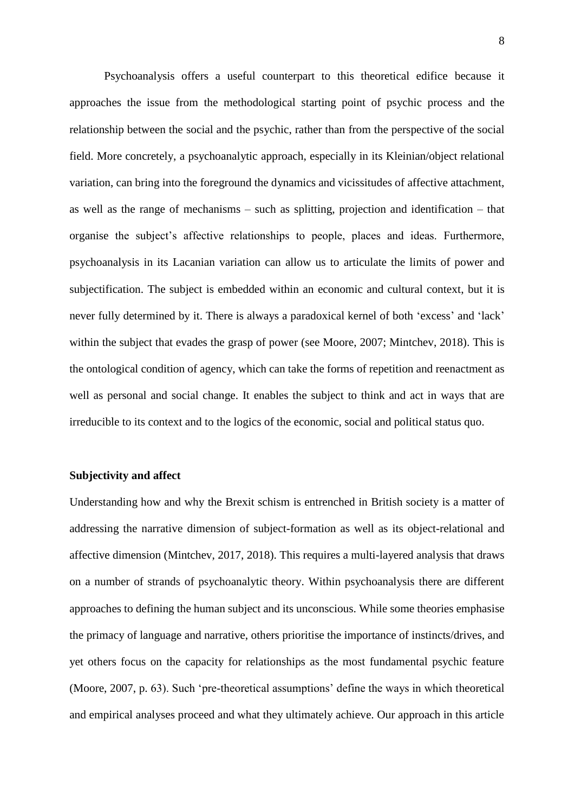Psychoanalysis offers a useful counterpart to this theoretical edifice because it approaches the issue from the methodological starting point of psychic process and the relationship between the social and the psychic, rather than from the perspective of the social field. More concretely, a psychoanalytic approach, especially in its Kleinian/object relational variation, can bring into the foreground the dynamics and vicissitudes of affective attachment, as well as the range of mechanisms – such as splitting, projection and identification – that organise the subject's affective relationships to people, places and ideas. Furthermore, psychoanalysis in its Lacanian variation can allow us to articulate the limits of power and subjectification. The subject is embedded within an economic and cultural context, but it is never fully determined by it. There is always a paradoxical kernel of both 'excess' and 'lack' within the subject that evades the grasp of power (see Moore, 2007; Mintchev, 2018). This is the ontological condition of agency, which can take the forms of repetition and reenactment as well as personal and social change. It enables the subject to think and act in ways that are irreducible to its context and to the logics of the economic, social and political status quo.

# **Subjectivity and affect**

Understanding how and why the Brexit schism is entrenched in British society is a matter of addressing the narrative dimension of subject-formation as well as its object-relational and affective dimension (Mintchev, 2017, 2018). This requires a multi-layered analysis that draws on a number of strands of psychoanalytic theory. Within psychoanalysis there are different approaches to defining the human subject and its unconscious. While some theories emphasise the primacy of language and narrative, others prioritise the importance of instincts/drives, and yet others focus on the capacity for relationships as the most fundamental psychic feature (Moore, 2007, p. 63). Such 'pre-theoretical assumptions' define the ways in which theoretical and empirical analyses proceed and what they ultimately achieve. Our approach in this article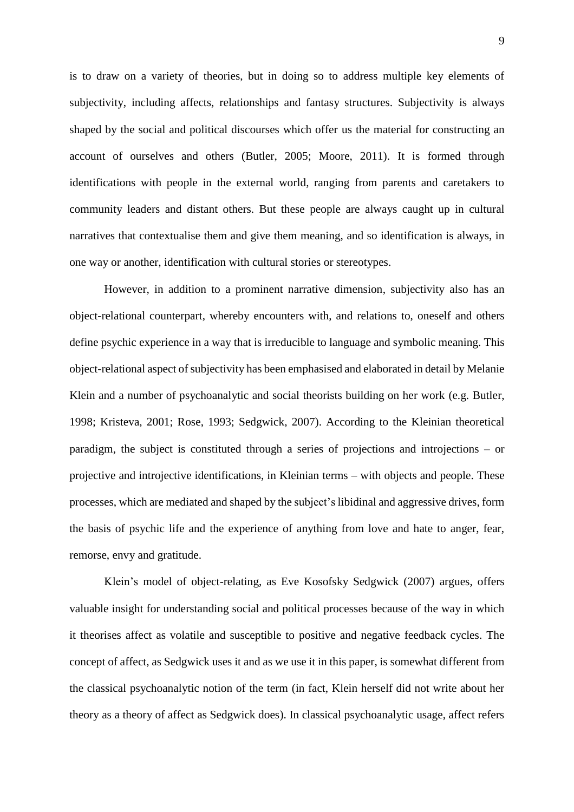is to draw on a variety of theories, but in doing so to address multiple key elements of subjectivity, including affects, relationships and fantasy structures. Subjectivity is always shaped by the social and political discourses which offer us the material for constructing an account of ourselves and others (Butler, 2005; Moore, 2011). It is formed through identifications with people in the external world, ranging from parents and caretakers to community leaders and distant others. But these people are always caught up in cultural narratives that contextualise them and give them meaning, and so identification is always, in one way or another, identification with cultural stories or stereotypes.

However, in addition to a prominent narrative dimension, subjectivity also has an object-relational counterpart, whereby encounters with, and relations to, oneself and others define psychic experience in a way that is irreducible to language and symbolic meaning. This object-relational aspect of subjectivity has been emphasised and elaborated in detail by Melanie Klein and a number of psychoanalytic and social theorists building on her work (e.g. Butler, 1998; Kristeva, 2001; Rose, 1993; Sedgwick, 2007). According to the Kleinian theoretical paradigm, the subject is constituted through a series of projections and introjections – or projective and introjective identifications, in Kleinian terms – with objects and people. These processes, which are mediated and shaped by the subject's libidinal and aggressive drives, form the basis of psychic life and the experience of anything from love and hate to anger, fear, remorse, envy and gratitude.

Klein's model of object-relating, as Eve Kosofsky Sedgwick (2007) argues, offers valuable insight for understanding social and political processes because of the way in which it theorises affect as volatile and susceptible to positive and negative feedback cycles. The concept of affect, as Sedgwick uses it and as we use it in this paper, is somewhat different from the classical psychoanalytic notion of the term (in fact, Klein herself did not write about her theory as a theory of affect as Sedgwick does). In classical psychoanalytic usage, affect refers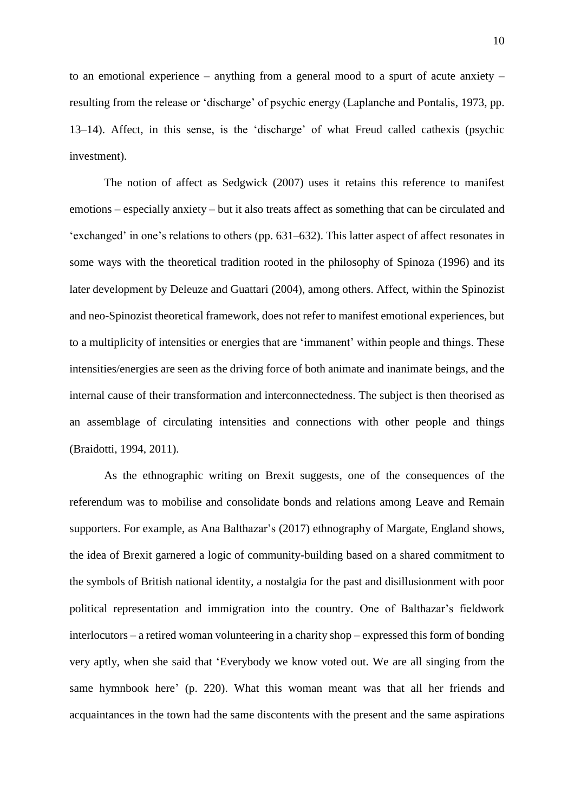to an emotional experience – anything from a general mood to a spurt of acute anxiety – resulting from the release or 'discharge' of psychic energy (Laplanche and Pontalis, 1973, pp. 13–14). Affect, in this sense, is the 'discharge' of what Freud called cathexis (psychic investment).

The notion of affect as Sedgwick (2007) uses it retains this reference to manifest emotions – especially anxiety – but it also treats affect as something that can be circulated and 'exchanged' in one's relations to others (pp. 631–632). This latter aspect of affect resonates in some ways with the theoretical tradition rooted in the philosophy of Spinoza (1996) and its later development by Deleuze and Guattari (2004), among others. Affect, within the Spinozist and neo-Spinozist theoretical framework, does not refer to manifest emotional experiences, but to a multiplicity of intensities or energies that are 'immanent' within people and things. These intensities/energies are seen as the driving force of both animate and inanimate beings, and the internal cause of their transformation and interconnectedness. The subject is then theorised as an assemblage of circulating intensities and connections with other people and things (Braidotti, 1994, 2011).

As the ethnographic writing on Brexit suggests, one of the consequences of the referendum was to mobilise and consolidate bonds and relations among Leave and Remain supporters. For example, as Ana Balthazar's (2017) ethnography of Margate, England shows, the idea of Brexit garnered a logic of community-building based on a shared commitment to the symbols of British national identity, a nostalgia for the past and disillusionment with poor political representation and immigration into the country. One of Balthazar's fieldwork interlocutors – a retired woman volunteering in a charity shop – expressed this form of bonding very aptly, when she said that 'Everybody we know voted out. We are all singing from the same hymnbook here' (p. 220). What this woman meant was that all her friends and acquaintances in the town had the same discontents with the present and the same aspirations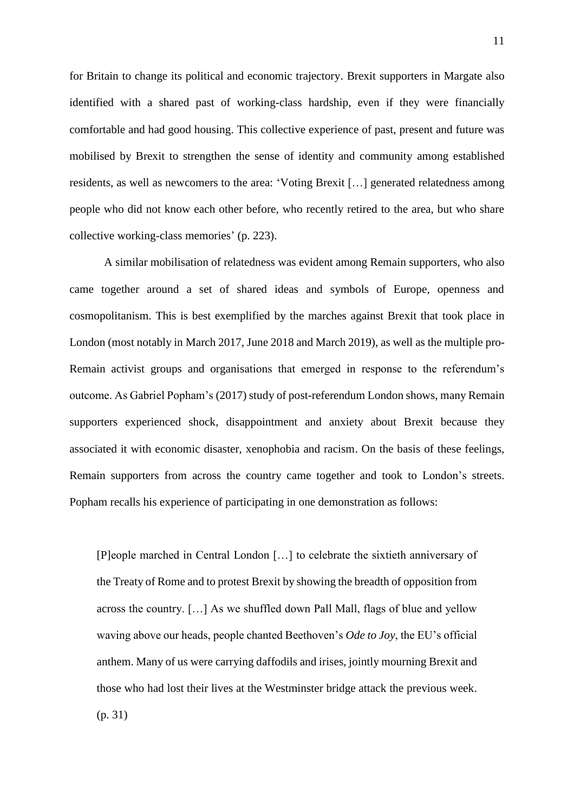for Britain to change its political and economic trajectory. Brexit supporters in Margate also identified with a shared past of working-class hardship, even if they were financially comfortable and had good housing. This collective experience of past, present and future was mobilised by Brexit to strengthen the sense of identity and community among established residents, as well as newcomers to the area: 'Voting Brexit […] generated relatedness among people who did not know each other before, who recently retired to the area, but who share collective working-class memories' (p. 223).

A similar mobilisation of relatedness was evident among Remain supporters, who also came together around a set of shared ideas and symbols of Europe, openness and cosmopolitanism. This is best exemplified by the marches against Brexit that took place in London (most notably in March 2017, June 2018 and March 2019), as well as the multiple pro-Remain activist groups and organisations that emerged in response to the referendum's outcome. As Gabriel Popham's (2017) study of post-referendum London shows, many Remain supporters experienced shock, disappointment and anxiety about Brexit because they associated it with economic disaster, xenophobia and racism. On the basis of these feelings, Remain supporters from across the country came together and took to London's streets. Popham recalls his experience of participating in one demonstration as follows:

[P]eople marched in Central London […] to celebrate the sixtieth anniversary of the Treaty of Rome and to protest Brexit by showing the breadth of opposition from across the country. […] As we shuffled down Pall Mall, flags of blue and yellow waving above our heads, people chanted Beethoven's *Ode to Joy*, the EU's official anthem. Many of us were carrying daffodils and irises, jointly mourning Brexit and those who had lost their lives at the Westminster bridge attack the previous week. (p. 31)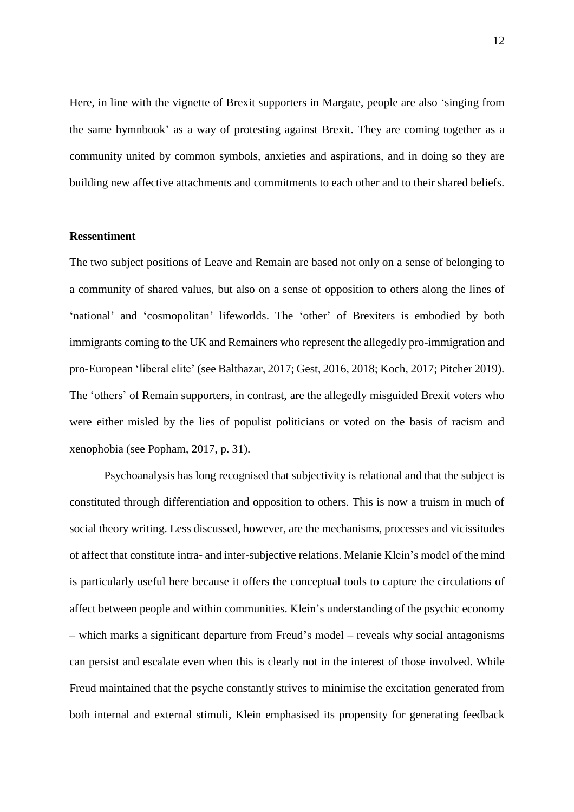Here, in line with the vignette of Brexit supporters in Margate, people are also 'singing from the same hymnbook' as a way of protesting against Brexit. They are coming together as a community united by common symbols, anxieties and aspirations, and in doing so they are building new affective attachments and commitments to each other and to their shared beliefs.

# **Ressentiment**

The two subject positions of Leave and Remain are based not only on a sense of belonging to a community of shared values, but also on a sense of opposition to others along the lines of 'national' and 'cosmopolitan' lifeworlds. The 'other' of Brexiters is embodied by both immigrants coming to the UK and Remainers who represent the allegedly pro-immigration and pro-European 'liberal elite' (see Balthazar, 2017; Gest, 2016, 2018; Koch, 2017; Pitcher 2019). The 'others' of Remain supporters, in contrast, are the allegedly misguided Brexit voters who were either misled by the lies of populist politicians or voted on the basis of racism and xenophobia (see Popham, 2017, p. 31).

Psychoanalysis has long recognised that subjectivity is relational and that the subject is constituted through differentiation and opposition to others. This is now a truism in much of social theory writing. Less discussed, however, are the mechanisms, processes and vicissitudes of affect that constitute intra- and inter-subjective relations. Melanie Klein's model of the mind is particularly useful here because it offers the conceptual tools to capture the circulations of affect between people and within communities. Klein's understanding of the psychic economy – which marks a significant departure from Freud's model – reveals why social antagonisms can persist and escalate even when this is clearly not in the interest of those involved. While Freud maintained that the psyche constantly strives to minimise the excitation generated from both internal and external stimuli, Klein emphasised its propensity for generating feedback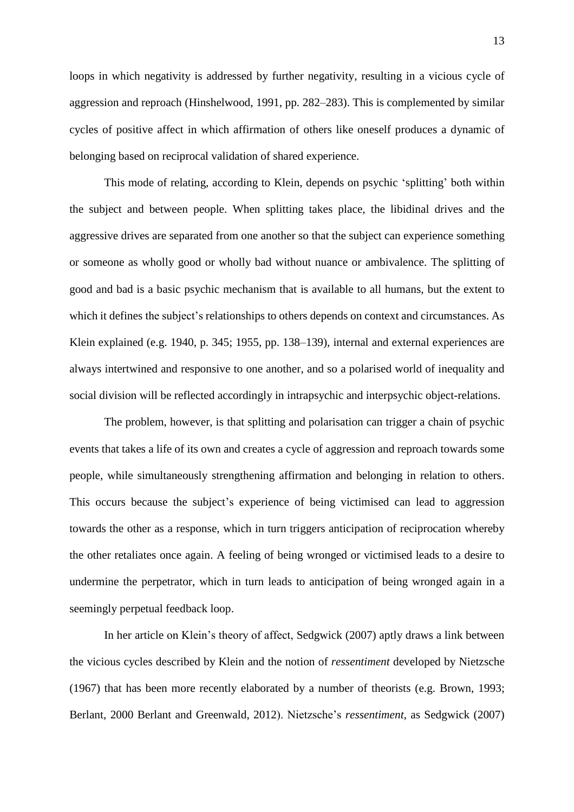loops in which negativity is addressed by further negativity, resulting in a vicious cycle of aggression and reproach (Hinshelwood, 1991, pp. 282–283). This is complemented by similar cycles of positive affect in which affirmation of others like oneself produces a dynamic of belonging based on reciprocal validation of shared experience.

This mode of relating, according to Klein, depends on psychic 'splitting' both within the subject and between people. When splitting takes place, the libidinal drives and the aggressive drives are separated from one another so that the subject can experience something or someone as wholly good or wholly bad without nuance or ambivalence. The splitting of good and bad is a basic psychic mechanism that is available to all humans, but the extent to which it defines the subject's relationships to others depends on context and circumstances. As Klein explained (e.g. 1940, p. 345; 1955, pp. 138–139), internal and external experiences are always intertwined and responsive to one another, and so a polarised world of inequality and social division will be reflected accordingly in intrapsychic and interpsychic object-relations.

The problem, however, is that splitting and polarisation can trigger a chain of psychic events that takes a life of its own and creates a cycle of aggression and reproach towards some people, while simultaneously strengthening affirmation and belonging in relation to others. This occurs because the subject's experience of being victimised can lead to aggression towards the other as a response, which in turn triggers anticipation of reciprocation whereby the other retaliates once again. A feeling of being wronged or victimised leads to a desire to undermine the perpetrator, which in turn leads to anticipation of being wronged again in a seemingly perpetual feedback loop.

In her article on Klein's theory of affect, Sedgwick (2007) aptly draws a link between the vicious cycles described by Klein and the notion of *ressentiment* developed by Nietzsche (1967) that has been more recently elaborated by a number of theorists (e.g. Brown, 1993; Berlant, 2000 Berlant and Greenwald, 2012). Nietzsche's *ressentiment,* as Sedgwick (2007)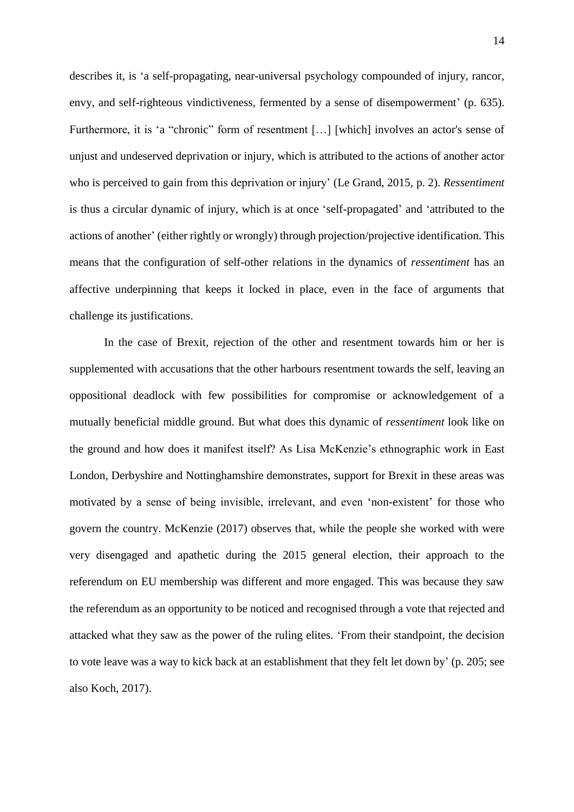describes it, is 'a self-propagating, near-universal psychology compounded of injury, rancor, envy, and self-righteous vindictiveness, fermented by a sense of disempowerment' (p. 635). Furthermore, it is 'a "chronic" form of resentment [...] [which] involves an actor's sense of unjust and undeserved deprivation or injury, which is attributed to the actions of another actor who is perceived to gain from this deprivation or injury' (Le Grand, 2015, p. 2). *Ressentiment* is thus a circular dynamic of injury, which is at once 'self-propagated' and 'attributed to the actions of another' (either rightly or wrongly) through projection/projective identification. This means that the configuration of self-other relations in the dynamics of *ressentiment* has an affective underpinning that keeps it locked in place, even in the face of arguments that challenge its justifications.

In the case of Brexit, rejection of the other and resentment towards him or her is supplemented with accusations that the other harbours resentment towards the self, leaving an oppositional deadlock with few possibilities for compromise or acknowledgement of a mutually beneficial middle ground. But what does this dynamic of *ressentiment* look like on the ground and how does it manifest itself? As Lisa McKenzie's ethnographic work in East London, Derbyshire and Nottinghamshire demonstrates, support for Brexit in these areas was motivated by a sense of being invisible, irrelevant, and even 'non-existent' for those who govern the country. McKenzie (2017) observes that, while the people she worked with were very disengaged and apathetic during the 2015 general election, their approach to the referendum on EU membership was different and more engaged. This was because they saw the referendum as an opportunity to be noticed and recognised through a vote that rejected and attacked what they saw as the power of the ruling elites. 'From their standpoint, the decision to vote leave was a way to kick back at an establishment that they felt let down by' (p. 205; see also Koch, 2017).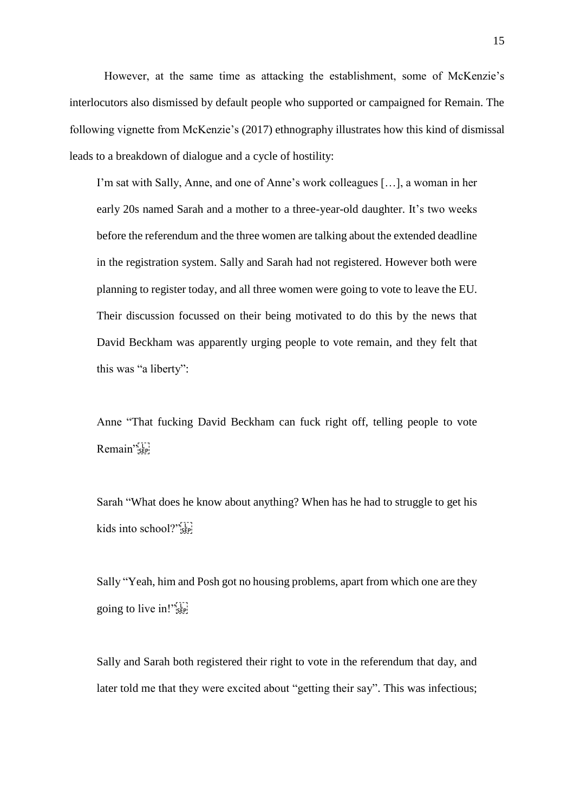However, at the same time as attacking the establishment, some of McKenzie's interlocutors also dismissed by default people who supported or campaigned for Remain. The following vignette from McKenzie's (2017) ethnography illustrates how this kind of dismissal leads to a breakdown of dialogue and a cycle of hostility:

I'm sat with Sally, Anne, and one of Anne's work colleagues […], a woman in her early 20s named Sarah and a mother to a three-year-old daughter. It's two weeks before the referendum and the three women are talking about the extended deadline in the registration system. Sally and Sarah had not registered. However both were planning to register today, and all three women were going to vote to leave the EU. Their discussion focussed on their being motivated to do this by the news that David Beckham was apparently urging people to vote remain, and they felt that this was "a liberty":

Anne "That fucking David Beckham can fuck right off, telling people to vote Remain"<sup>5</sup>

Sarah "What does he know about anything? When has he had to struggle to get his kids into school?"<sup>[1]</sup>

Sally "Yeah, him and Posh got no housing problems, apart from which one are they going to live in!"<sup>57</sup>

Sally and Sarah both registered their right to vote in the referendum that day, and later told me that they were excited about "getting their say". This was infectious;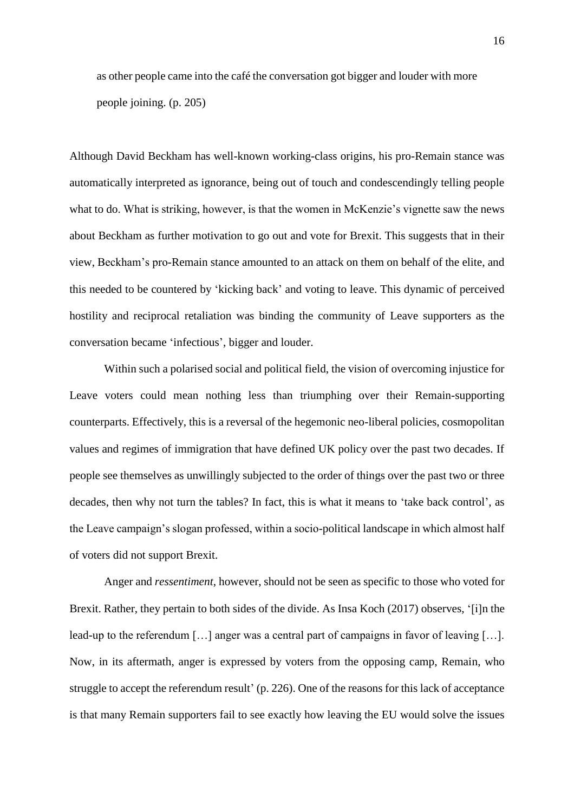as other people came into the café the conversation got bigger and louder with more people joining. (p. 205)

Although David Beckham has well-known working-class origins, his pro-Remain stance was automatically interpreted as ignorance, being out of touch and condescendingly telling people what to do. What is striking, however, is that the women in McKenzie's vignette saw the news about Beckham as further motivation to go out and vote for Brexit. This suggests that in their view, Beckham's pro-Remain stance amounted to an attack on them on behalf of the elite, and this needed to be countered by 'kicking back' and voting to leave. This dynamic of perceived hostility and reciprocal retaliation was binding the community of Leave supporters as the conversation became 'infectious', bigger and louder.

Within such a polarised social and political field, the vision of overcoming injustice for Leave voters could mean nothing less than triumphing over their Remain-supporting counterparts. Effectively, this is a reversal of the hegemonic neo-liberal policies, cosmopolitan values and regimes of immigration that have defined UK policy over the past two decades. If people see themselves as unwillingly subjected to the order of things over the past two or three decades, then why not turn the tables? In fact, this is what it means to 'take back control', as the Leave campaign's slogan professed, within a socio-political landscape in which almost half of voters did not support Brexit.

Anger and *ressentiment*, however, should not be seen as specific to those who voted for Brexit. Rather, they pertain to both sides of the divide. As Insa Koch (2017) observes, '[i]n the lead-up to the referendum […] anger was a central part of campaigns in favor of leaving […]. Now, in its aftermath, anger is expressed by voters from the opposing camp, Remain, who struggle to accept the referendum result' (p. 226). One of the reasons for this lack of acceptance is that many Remain supporters fail to see exactly how leaving the EU would solve the issues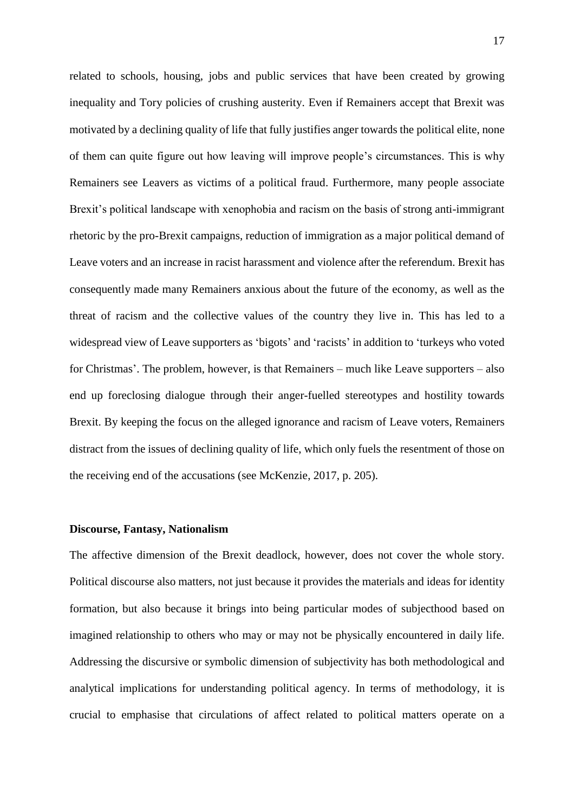related to schools, housing, jobs and public services that have been created by growing inequality and Tory policies of crushing austerity. Even if Remainers accept that Brexit was motivated by a declining quality of life that fully justifies anger towards the political elite, none of them can quite figure out how leaving will improve people's circumstances. This is why Remainers see Leavers as victims of a political fraud. Furthermore, many people associate Brexit's political landscape with xenophobia and racism on the basis of strong anti-immigrant rhetoric by the pro-Brexit campaigns, reduction of immigration as a major political demand of Leave voters and an increase in racist harassment and violence after the referendum. Brexit has consequently made many Remainers anxious about the future of the economy, as well as the threat of racism and the collective values of the country they live in. This has led to a widespread view of Leave supporters as 'bigots' and 'racists' in addition to 'turkeys who voted for Christmas'. The problem, however, is that Remainers – much like Leave supporters – also end up foreclosing dialogue through their anger-fuelled stereotypes and hostility towards Brexit. By keeping the focus on the alleged ignorance and racism of Leave voters, Remainers distract from the issues of declining quality of life, which only fuels the resentment of those on the receiving end of the accusations (see McKenzie, 2017, p. 205).

# **Discourse, Fantasy, Nationalism**

The affective dimension of the Brexit deadlock, however, does not cover the whole story. Political discourse also matters, not just because it provides the materials and ideas for identity formation, but also because it brings into being particular modes of subjecthood based on imagined relationship to others who may or may not be physically encountered in daily life. Addressing the discursive or symbolic dimension of subjectivity has both methodological and analytical implications for understanding political agency. In terms of methodology, it is crucial to emphasise that circulations of affect related to political matters operate on a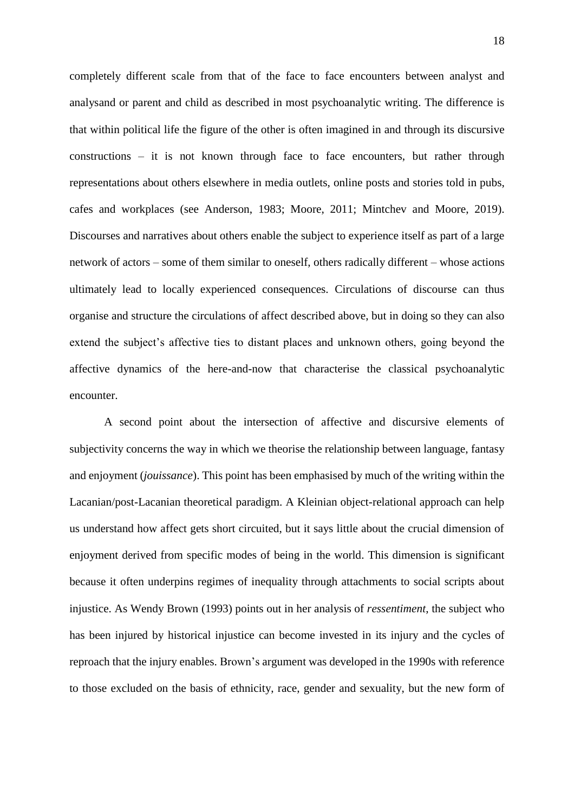completely different scale from that of the face to face encounters between analyst and analysand or parent and child as described in most psychoanalytic writing. The difference is that within political life the figure of the other is often imagined in and through its discursive constructions – it is not known through face to face encounters, but rather through representations about others elsewhere in media outlets, online posts and stories told in pubs, cafes and workplaces (see Anderson, 1983; Moore, 2011; Mintchev and Moore, 2019). Discourses and narratives about others enable the subject to experience itself as part of a large network of actors – some of them similar to oneself, others radically different – whose actions ultimately lead to locally experienced consequences. Circulations of discourse can thus organise and structure the circulations of affect described above, but in doing so they can also extend the subject's affective ties to distant places and unknown others, going beyond the affective dynamics of the here-and-now that characterise the classical psychoanalytic encounter.

A second point about the intersection of affective and discursive elements of subjectivity concerns the way in which we theorise the relationship between language, fantasy and enjoyment (*jouissance*). This point has been emphasised by much of the writing within the Lacanian/post-Lacanian theoretical paradigm. A Kleinian object-relational approach can help us understand how affect gets short circuited, but it says little about the crucial dimension of enjoyment derived from specific modes of being in the world. This dimension is significant because it often underpins regimes of inequality through attachments to social scripts about injustice. As Wendy Brown (1993) points out in her analysis of *ressentiment*, the subject who has been injured by historical injustice can become invested in its injury and the cycles of reproach that the injury enables. Brown's argument was developed in the 1990s with reference to those excluded on the basis of ethnicity, race, gender and sexuality, but the new form of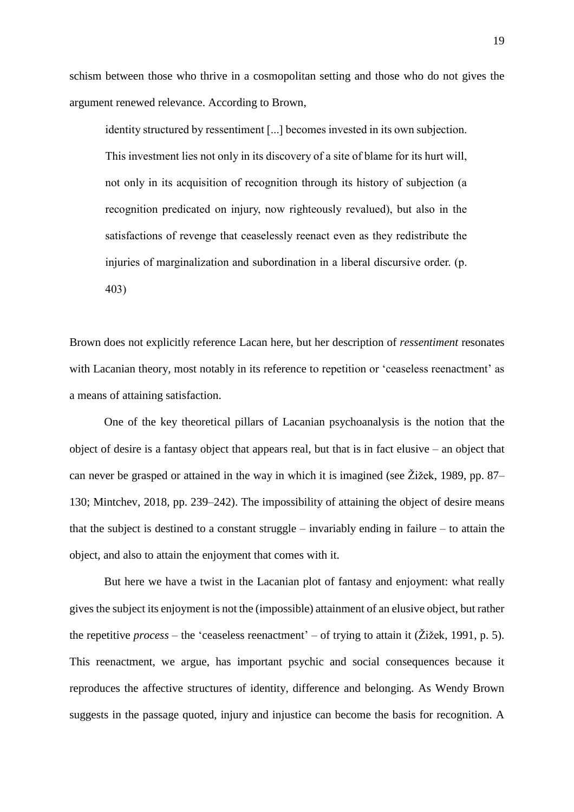schism between those who thrive in a cosmopolitan setting and those who do not gives the argument renewed relevance. According to Brown,

identity structured by ressentiment [...] becomes invested in its own subjection. This investment lies not only in its discovery of a site of blame for its hurt will, not only in its acquisition of recognition through its history of subjection (a recognition predicated on injury, now righteously revalued), but also in the satisfactions of revenge that ceaselessly reenact even as they redistribute the injuries of marginalization and subordination in a liberal discursive order. (p. 403)

Brown does not explicitly reference Lacan here, but her description of *ressentiment* resonates with Lacanian theory, most notably in its reference to repetition or 'ceaseless reenactment' as a means of attaining satisfaction.

One of the key theoretical pillars of Lacanian psychoanalysis is the notion that the object of desire is a fantasy object that appears real, but that is in fact elusive – an object that can never be grasped or attained in the way in which it is imagined (see  $\tilde{Z}$ ižek, 1989, pp. 87– 130; Mintchev, 2018, pp. 239–242). The impossibility of attaining the object of desire means that the subject is destined to a constant struggle – invariably ending in failure – to attain the object, and also to attain the enjoyment that comes with it.

But here we have a twist in the Lacanian plot of fantasy and enjoyment: what really gives the subject its enjoyment is not the (impossible) attainment of an elusive object, but rather the repetitive *process* – the 'ceaseless reenactment' – of trying to attain it (Žižek, 1991, p. 5). This reenactment, we argue, has important psychic and social consequences because it reproduces the affective structures of identity, difference and belonging. As Wendy Brown suggests in the passage quoted, injury and injustice can become the basis for recognition. A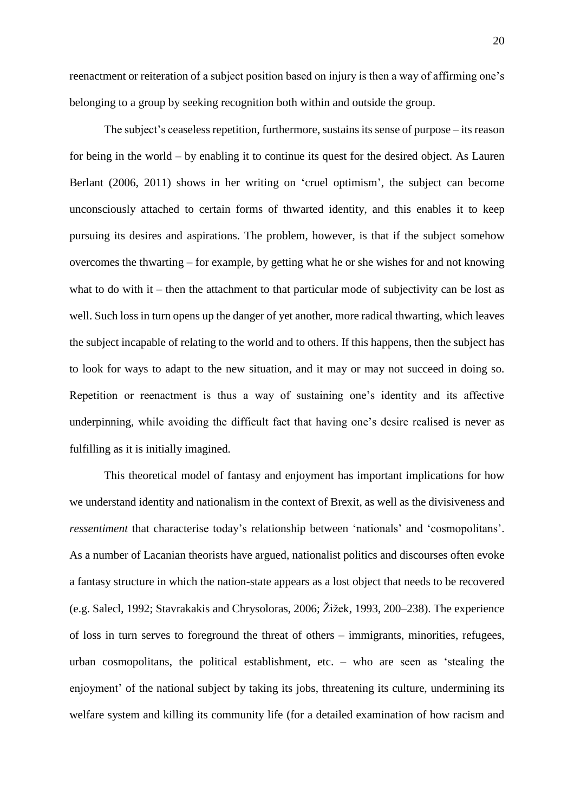reenactment or reiteration of a subject position based on injury is then a way of affirming one's belonging to a group by seeking recognition both within and outside the group.

The subject's ceaseless repetition, furthermore, sustains its sense of purpose – its reason for being in the world – by enabling it to continue its quest for the desired object. As Lauren Berlant (2006, 2011) shows in her writing on 'cruel optimism', the subject can become unconsciously attached to certain forms of thwarted identity, and this enables it to keep pursuing its desires and aspirations. The problem, however, is that if the subject somehow overcomes the thwarting – for example, by getting what he or she wishes for and not knowing what to do with it – then the attachment to that particular mode of subjectivity can be lost as well. Such loss in turn opens up the danger of yet another, more radical thwarting, which leaves the subject incapable of relating to the world and to others. If this happens, then the subject has to look for ways to adapt to the new situation, and it may or may not succeed in doing so. Repetition or reenactment is thus a way of sustaining one's identity and its affective underpinning, while avoiding the difficult fact that having one's desire realised is never as fulfilling as it is initially imagined.

This theoretical model of fantasy and enjoyment has important implications for how we understand identity and nationalism in the context of Brexit, as well as the divisiveness and *ressentiment* that characterise today's relationship between 'nationals' and 'cosmopolitans'. As a number of Lacanian theorists have argued, nationalist politics and discourses often evoke a fantasy structure in which the nation-state appears as a lost object that needs to be recovered (e.g. Salecl, 1992; Stavrakakis and Chrysoloras, 2006; Žižek, 1993, 200–238). The experience of loss in turn serves to foreground the threat of others – immigrants, minorities, refugees, urban cosmopolitans, the political establishment, etc. – who are seen as 'stealing the enjoyment' of the national subject by taking its jobs, threatening its culture, undermining its welfare system and killing its community life (for a detailed examination of how racism and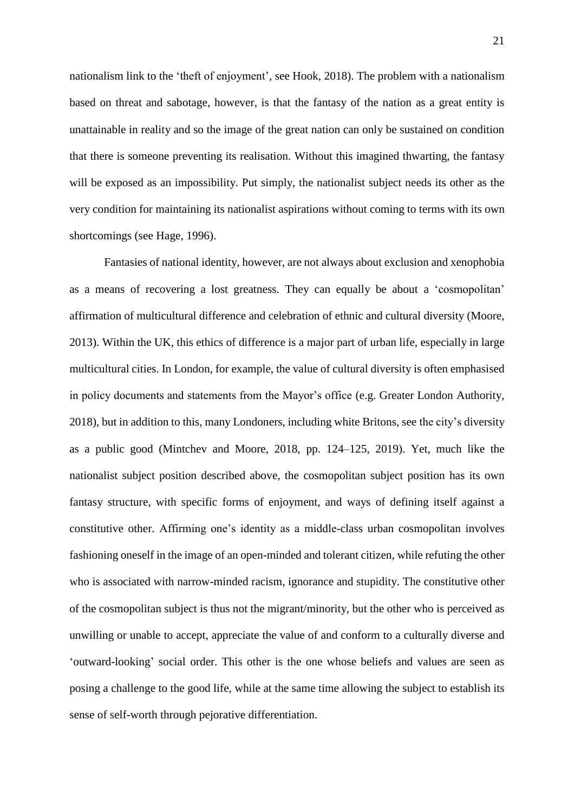nationalism link to the 'theft of enjoyment', see Hook, 2018). The problem with a nationalism based on threat and sabotage, however, is that the fantasy of the nation as a great entity is unattainable in reality and so the image of the great nation can only be sustained on condition that there is someone preventing its realisation. Without this imagined thwarting, the fantasy will be exposed as an impossibility. Put simply, the nationalist subject needs its other as the very condition for maintaining its nationalist aspirations without coming to terms with its own shortcomings (see Hage, 1996).

Fantasies of national identity, however, are not always about exclusion and xenophobia as a means of recovering a lost greatness. They can equally be about a 'cosmopolitan' affirmation of multicultural difference and celebration of ethnic and cultural diversity (Moore, 2013). Within the UK, this ethics of difference is a major part of urban life, especially in large multicultural cities. In London, for example, the value of cultural diversity is often emphasised in policy documents and statements from the Mayor's office (e.g. Greater London Authority, 2018), but in addition to this, many Londoners, including white Britons, see the city's diversity as a public good (Mintchev and Moore, 2018, pp. 124–125, 2019). Yet, much like the nationalist subject position described above, the cosmopolitan subject position has its own fantasy structure, with specific forms of enjoyment, and ways of defining itself against a constitutive other. Affirming one's identity as a middle-class urban cosmopolitan involves fashioning oneself in the image of an open-minded and tolerant citizen, while refuting the other who is associated with narrow-minded racism, ignorance and stupidity. The constitutive other of the cosmopolitan subject is thus not the migrant/minority, but the other who is perceived as unwilling or unable to accept, appreciate the value of and conform to a culturally diverse and 'outward-looking' social order. This other is the one whose beliefs and values are seen as posing a challenge to the good life, while at the same time allowing the subject to establish its sense of self-worth through pejorative differentiation.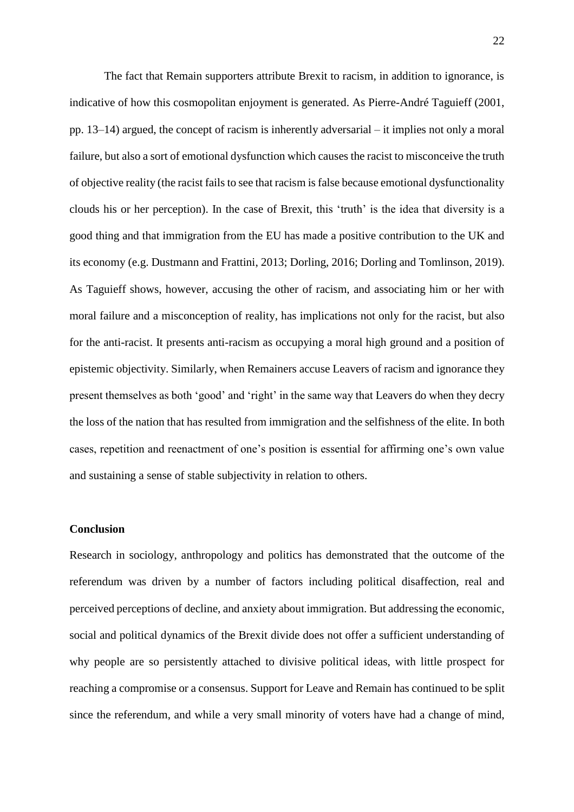The fact that Remain supporters attribute Brexit to racism, in addition to ignorance, is indicative of how this cosmopolitan enjoyment is generated. As Pierre-André Taguieff (2001, pp. 13–14) argued, the concept of racism is inherently adversarial – it implies not only a moral failure, but also a sort of emotional dysfunction which causes the racist to misconceive the truth of objective reality (the racist fails to see that racism is false because emotional dysfunctionality clouds his or her perception). In the case of Brexit, this 'truth' is the idea that diversity is a good thing and that immigration from the EU has made a positive contribution to the UK and its economy (e.g. Dustmann and Frattini, 2013; Dorling, 2016; Dorling and Tomlinson, 2019). As Taguieff shows, however, accusing the other of racism, and associating him or her with moral failure and a misconception of reality, has implications not only for the racist, but also for the anti-racist. It presents anti-racism as occupying a moral high ground and a position of epistemic objectivity. Similarly, when Remainers accuse Leavers of racism and ignorance they present themselves as both 'good' and 'right' in the same way that Leavers do when they decry the loss of the nation that has resulted from immigration and the selfishness of the elite. In both cases, repetition and reenactment of one's position is essential for affirming one's own value and sustaining a sense of stable subjectivity in relation to others.

# **Conclusion**

Research in sociology, anthropology and politics has demonstrated that the outcome of the referendum was driven by a number of factors including political disaffection, real and perceived perceptions of decline, and anxiety about immigration. But addressing the economic, social and political dynamics of the Brexit divide does not offer a sufficient understanding of why people are so persistently attached to divisive political ideas, with little prospect for reaching a compromise or a consensus. Support for Leave and Remain has continued to be split since the referendum, and while a very small minority of voters have had a change of mind,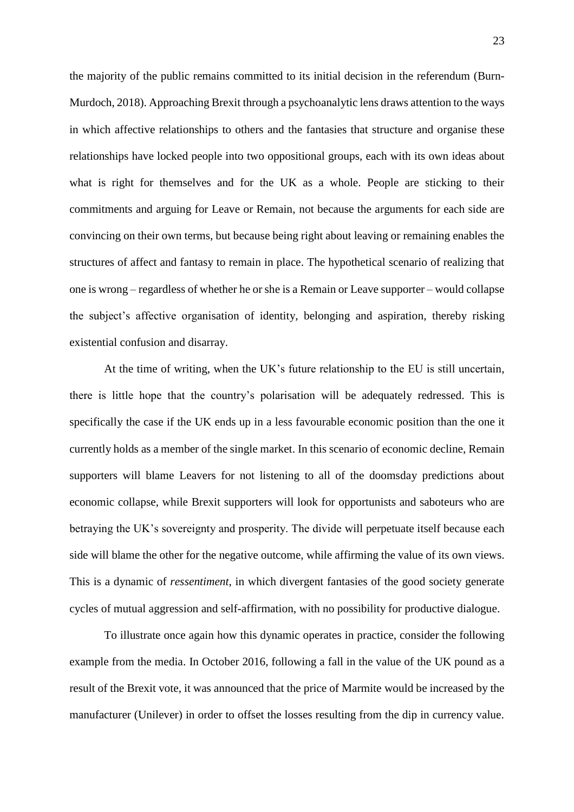the majority of the public remains committed to its initial decision in the referendum (Burn-Murdoch, 2018). Approaching Brexit through a psychoanalytic lens draws attention to the ways in which affective relationships to others and the fantasies that structure and organise these relationships have locked people into two oppositional groups, each with its own ideas about what is right for themselves and for the UK as a whole. People are sticking to their commitments and arguing for Leave or Remain, not because the arguments for each side are convincing on their own terms, but because being right about leaving or remaining enables the structures of affect and fantasy to remain in place. The hypothetical scenario of realizing that one is wrong – regardless of whether he or she is a Remain or Leave supporter – would collapse the subject's affective organisation of identity, belonging and aspiration, thereby risking existential confusion and disarray.

At the time of writing, when the UK's future relationship to the EU is still uncertain, there is little hope that the country's polarisation will be adequately redressed. This is specifically the case if the UK ends up in a less favourable economic position than the one it currently holds as a member of the single market. In this scenario of economic decline, Remain supporters will blame Leavers for not listening to all of the doomsday predictions about economic collapse, while Brexit supporters will look for opportunists and saboteurs who are betraying the UK's sovereignty and prosperity. The divide will perpetuate itself because each side will blame the other for the negative outcome, while affirming the value of its own views. This is a dynamic of *ressentiment*, in which divergent fantasies of the good society generate cycles of mutual aggression and self-affirmation, with no possibility for productive dialogue.

To illustrate once again how this dynamic operates in practice, consider the following example from the media. In October 2016, following a fall in the value of the UK pound as a result of the Brexit vote, it was announced that the price of Marmite would be increased by the manufacturer (Unilever) in order to offset the losses resulting from the dip in currency value.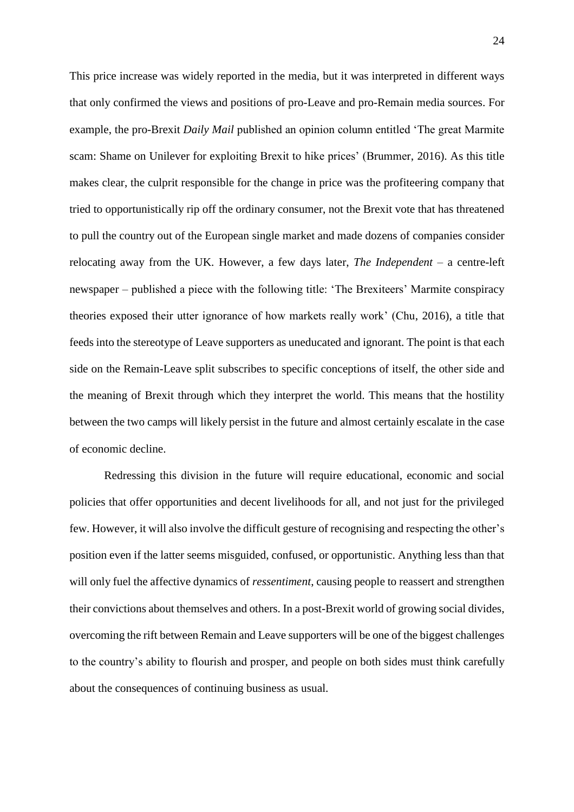This price increase was widely reported in the media, but it was interpreted in different ways that only confirmed the views and positions of pro-Leave and pro-Remain media sources. For example, the pro-Brexit *Daily Mail* published an opinion column entitled 'The great Marmite scam: Shame on Unilever for exploiting Brexit to hike prices' (Brummer, 2016). As this title makes clear, the culprit responsible for the change in price was the profiteering company that tried to opportunistically rip off the ordinary consumer, not the Brexit vote that has threatened to pull the country out of the European single market and made dozens of companies consider relocating away from the UK. However, a few days later, *The Independent* – a centre-left newspaper – published a piece with the following title: 'The Brexiteers' Marmite conspiracy theories exposed their utter ignorance of how markets really work' (Chu, 2016), a title that feeds into the stereotype of Leave supporters as uneducated and ignorant. The point is that each side on the Remain-Leave split subscribes to specific conceptions of itself, the other side and the meaning of Brexit through which they interpret the world. This means that the hostility between the two camps will likely persist in the future and almost certainly escalate in the case of economic decline.

Redressing this division in the future will require educational, economic and social policies that offer opportunities and decent livelihoods for all, and not just for the privileged few. However, it will also involve the difficult gesture of recognising and respecting the other's position even if the latter seems misguided, confused, or opportunistic. Anything less than that will only fuel the affective dynamics of *ressentiment*, causing people to reassert and strengthen their convictions about themselves and others. In a post-Brexit world of growing social divides, overcoming the rift between Remain and Leave supporters will be one of the biggest challenges to the country's ability to flourish and prosper, and people on both sides must think carefully about the consequences of continuing business as usual.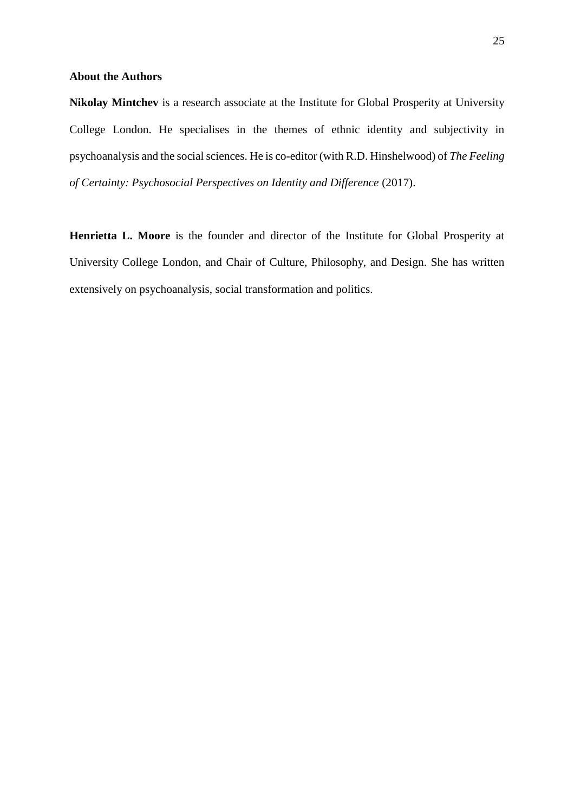# **About the Authors**

**Nikolay Mintchev** is a research associate at the Institute for Global Prosperity at University College London. He specialises in the themes of ethnic identity and subjectivity in psychoanalysis and the social sciences. He is co-editor (with R.D. Hinshelwood) of *The Feeling of Certainty: Psychosocial Perspectives on Identity and Difference* (2017).

**Henrietta L. Moore** is the founder and director of the Institute for Global Prosperity at University College London, and Chair of Culture, Philosophy, and Design. She has written extensively on psychoanalysis, social transformation and politics.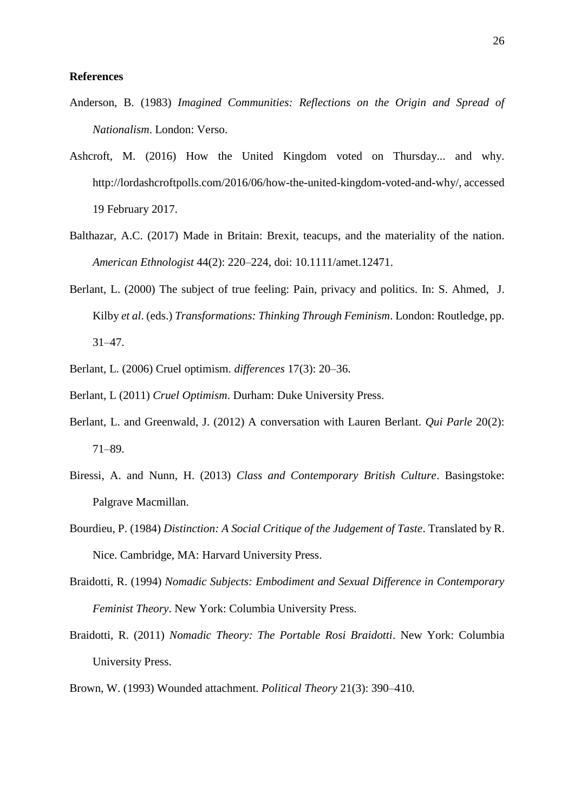# **References**

- Anderson, B. (1983) *Imagined Communities: Reflections on the Origin and Spread of Nationalism*. London: Verso.
- Ashcroft, M. (2016) How the United Kingdom voted on Thursday... and why. http://lordashcroftpolls.com/2016/06/how-the-united-kingdom-voted-and-why/, accessed 19 February 2017.
- Balthazar, A.C. (2017) Made in Britain: Brexit, teacups, and the materiality of the nation. *American Ethnologist* 44(2): 220–224, doi: [10.1111/amet.12471.](https://doi.org/10.1111/amet.12471)
- Berlant, L. (2000) The subject of true feeling: Pain, privacy and politics. In: S. Ahmed, J. Kilby *et al*. (eds.) *Transformations: Thinking Through Feminism*. London: Routledge, pp. 31–47.
- Berlant, L. (2006) Cruel optimism. *differences* 17(3): 20–36.
- Berlant, L (2011) *Cruel Optimism*. Durham: Duke University Press.
- Berlant, L. and Greenwald, J. (2012) A conversation with Lauren Berlant. *Qui Parle* 20(2): 71–89.
- Biressi, A. and Nunn, H. (2013) *Class and Contemporary British Culture*. Basingstoke: Palgrave Macmillan.
- Bourdieu, P. (1984) *Distinction: A Social Critique of the Judgement of Taste*. Translated by R. Nice. Cambridge, MA: Harvard University Press.
- Braidotti, R. (1994) *Nomadic Subjects: Embodiment and Sexual Difference in Contemporary Feminist Theory*. New York: Columbia University Press.
- Braidotti, R. (2011) *Nomadic Theory: The Portable Rosi Braidotti*. New York: Columbia University Press.
- Brown, W. (1993) Wounded attachment. *Political Theory* 21(3): 390–410.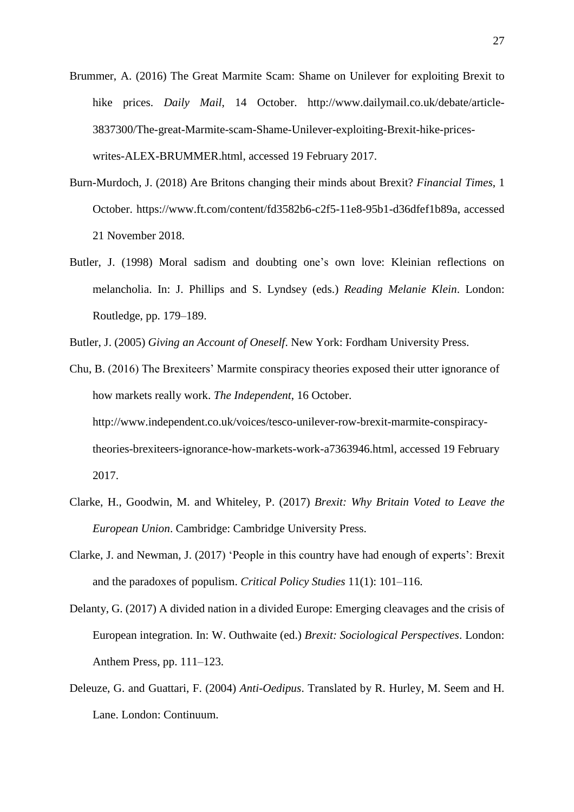- Brummer, A. (2016) The Great Marmite Scam: Shame on Unilever for exploiting Brexit to hike prices. *Daily Mail*, 14 October. [http://www.dailymail.co.uk/debate/article-](http://www.dailymail.co.uk/debate/article-3837300/The-great-Marmite-scam-Shame-Unilever-exploiting-Brexit-hike-prices-writes-ALEX-BRUMMER.html)[3837300/The-great-Marmite-scam-Shame-Unilever-exploiting-Brexit-hike-prices](http://www.dailymail.co.uk/debate/article-3837300/The-great-Marmite-scam-Shame-Unilever-exploiting-Brexit-hike-prices-writes-ALEX-BRUMMER.html)[writes-ALEX-BRUMMER.html,](http://www.dailymail.co.uk/debate/article-3837300/The-great-Marmite-scam-Shame-Unilever-exploiting-Brexit-hike-prices-writes-ALEX-BRUMMER.html) accessed 19 February 2017.
- Burn-Murdoch, J. (2018) Are Britons changing their minds about Brexit? *Financial Times*, 1 October. [https://www.ft.com/content/fd3582b6-c2f5-11e8-95b1-d36dfef1b89a,](https://www.ft.com/content/fd3582b6-c2f5-11e8-95b1-d36dfef1b89a) accessed 21 November 2018.
- Butler, J. (1998) Moral sadism and doubting one's own love: Kleinian reflections on melancholia. In: J. Phillips and S. Lyndsey (eds.) *Reading Melanie Klein*. London: Routledge, pp. 179–189.

Butler, J. (2005) *Giving an Account of Oneself*. New York: Fordham University Press.

- Chu, B. (2016) The Brexiteers' Marmite conspiracy theories exposed their utter ignorance of how markets really work. *The Independent*, 16 October. [http://www.independent.co.uk/voices/tesco-unilever-row-brexit-marmite-conspiracy](http://www.independent.co.uk/voices/tesco-unilever-row-brexit-marmite-conspiracy-theories-brexiteers-ignorance-how-markets-work-a7363946.html)[theories-brexiteers-ignorance-how-markets-work-a7363946.html,](http://www.independent.co.uk/voices/tesco-unilever-row-brexit-marmite-conspiracy-theories-brexiteers-ignorance-how-markets-work-a7363946.html) accessed 19 February 2017.
- Clarke, H., Goodwin, M. and Whiteley, P. (2017) *Brexit: Why Britain Voted to Leave the European Union*. Cambridge: Cambridge University Press.
- Clarke, J. and Newman, J. (2017) 'People in this country have had enough of experts': Brexit and the paradoxes of populism. *Critical Policy Studies* 11(1): 101–116.
- Delanty, G. (2017) A divided nation in a divided Europe: Emerging cleavages and the crisis of European integration. In: W. Outhwaite (ed.) *Brexit: Sociological Perspectives*. London: Anthem Press, pp. 111–123.
- Deleuze, G. and Guattari, F. (2004) *Anti-Oedipus*. Translated by R. Hurley, M. Seem and H. Lane. London: Continuum.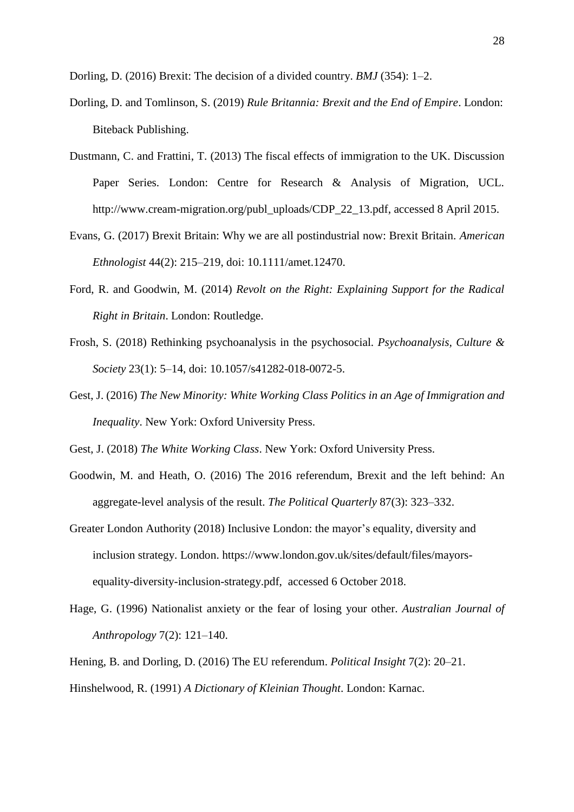Dorling, D. (2016) Brexit: The decision of a divided country. *BMJ* (354): 1–2.

- Dorling, D. and Tomlinson, S. (2019) *Rule Britannia: Brexit and the End of Empire*. London: Biteback Publishing.
- Dustmann, C. and Frattini, T. (2013) The fiscal effects of immigration to the UK. Discussion Paper Series. London: Centre for Research & Analysis of Migration, UCL. [http://www.cream-migration.org/publ\\_uploads/CDP\\_22\\_13.pdf,](http://www.cream-migration.org/publ_uploads/CDP_22_13.pdf) accessed 8 April 2015.
- Evans, G. (2017) Brexit Britain: Why we are all postindustrial now: Brexit Britain. *American Ethnologist* 44(2): 215–219, doi: [10.1111/amet.12470.](https://doi.org/10.1111/amet.12470)
- Ford, R. and Goodwin, M. (2014) *Revolt on the Right: Explaining Support for the Radical Right in Britain*. London: Routledge.
- Frosh, S. (2018) Rethinking psychoanalysis in the psychosocial. *Psychoanalysis, Culture & Society* 23(1): 5–14, doi: [10.1057/s41282-018-0072-5.](https://doi.org/10.1057/s41282-018-0072-5)
- Gest, J. (2016) *The New Minority: White Working Class Politics in an Age of Immigration and Inequality*. New York: Oxford University Press.

Gest, J. (2018) *The White Working Class*. New York: Oxford University Press.

- Goodwin, M. and Heath, O. (2016) The 2016 referendum, Brexit and the left behind: An aggregate-level analysis of the result. *The Political Quarterly* 87(3): 323–332.
- Greater London Authority (2018) Inclusive London: the mayor's equality, diversity and inclusion strategy. London. [https://www.london.gov.uk/sites/default/files/mayors](https://www.london.gov.uk/sites/default/files/mayors-equality-diversity-inclusion-strategy.pdf)[equality-diversity-inclusion-strategy.pdf,](https://www.london.gov.uk/sites/default/files/mayors-equality-diversity-inclusion-strategy.pdf) accessed 6 October 2018.
- Hage, G. (1996) Nationalist anxiety or the fear of losing your other. *Australian Journal of Anthropology* 7(2): 121–140.

Hening, B. and Dorling, D. (2016) The EU referendum. *Political Insight* 7(2): 20–21.

Hinshelwood, R. (1991) *A Dictionary of Kleinian Thought*. London: Karnac.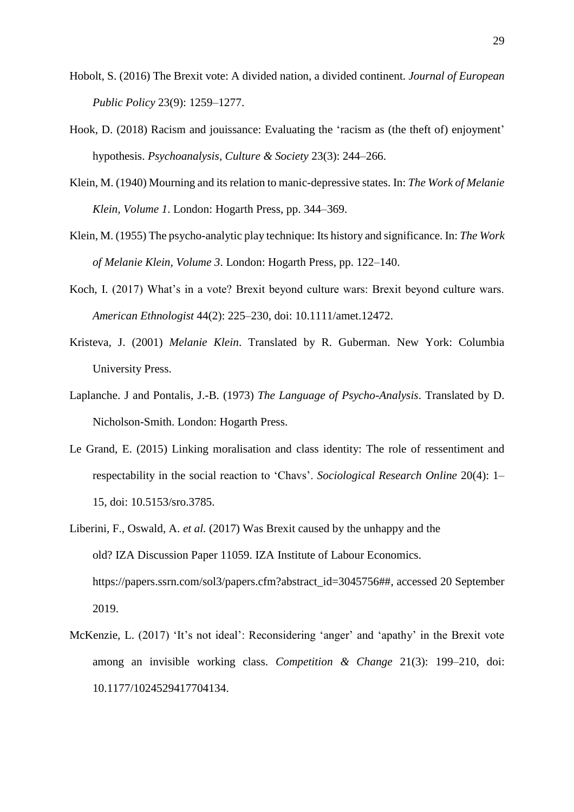- Hobolt, S. (2016) The Brexit vote: A divided nation, a divided continent. *Journal of European Public Policy* 23(9): 1259–1277.
- Hook, D. (2018) Racism and jouissance: Evaluating the 'racism as (the theft of) enjoyment' hypothesis. *Psychoanalysis, Culture & Society* 23(3): 244–266.
- Klein, M. (1940) Mourning and its relation to manic-depressive states. In: *The Work of Melanie Klein, Volume 1*. London: Hogarth Press, pp. 344–369.
- Klein, M. (1955) The psycho-analytic play technique: Its history and significance. In: *The Work of Melanie Klein, Volume 3*. London: Hogarth Press, pp. 122–140.
- Koch, I. (2017) What's in a vote? Brexit beyond culture wars: Brexit beyond culture wars. *American Ethnologist* 44(2): 225–230, doi: [10.1111/amet.12472.](https://doi.org/10.1111/amet.12472)
- Kristeva, J. (2001) *Melanie Klein*. Translated by R. Guberman. New York: Columbia University Press.
- Laplanche. J and Pontalis, J.-B. (1973) *The Language of Psycho-Analysis*. Translated by D. Nicholson-Smith. London: Hogarth Press.
- Le Grand, E. (2015) Linking moralisation and class identity: The role of ressentiment and respectability in the social reaction to 'Chavs'. *Sociological Research Online* 20(4): 1– 15, doi: [10.5153/sro.3785.](https://doi.org/10.5153/sro.3785)
- Liberini, F., Oswald, A. *et al.* (2017) Was Brexit caused by the unhappy and the old? IZA Discussion Paper 11059. IZA Institute of Labour Economics. [https://papers.ssrn.com/sol3/papers.cfm?abstract\\_id=3045756##,](https://papers.ssrn.com/sol3/papers.cfm?abstract_id=3045756##) accessed 20 September 2019.
- McKenzie, L. (2017) 'It's not ideal': Reconsidering 'anger' and 'apathy' in the Brexit vote among an invisible working class. *Competition & Change* 21(3): 199–210, doi: [10.1177/1024529417704134.](https://doi.org/10.1177/1024529417704134)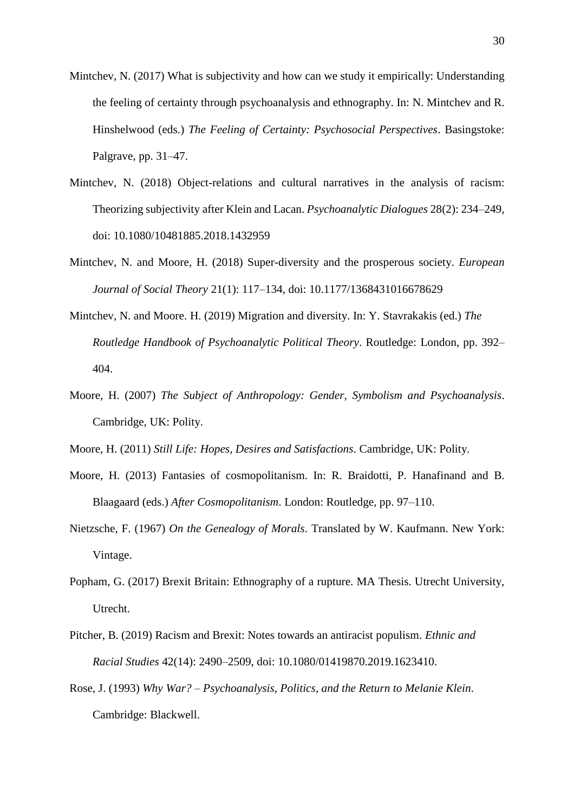- Mintchev, N. (2017) What is subjectivity and how can we study it empirically: Understanding the feeling of certainty through psychoanalysis and ethnography. In: N. Mintchev and R. Hinshelwood (eds.) *The Feeling of Certainty: Psychosocial Perspectives*. Basingstoke: Palgrave, pp. 31–47.
- Mintchev, N. (2018) Object-relations and cultural narratives in the analysis of racism: Theorizing subjectivity after Klein and Lacan. *Psychoanalytic Dialogues* 28(2): 234–249, doi: 10.1080/10481885.2018.1432959
- Mintchev, N. and Moore, H. (2018) Super-diversity and the prosperous society. *European Journal of Social Theory* 21(1): 117–134, doi: 10.1177/1368431016678629
- Mintchev, N. and Moore. H. (2019) Migration and diversity. In: Y. Stavrakakis (ed.) *The Routledge Handbook of Psychoanalytic Political Theory*. Routledge: London, pp. 392– 404.
- Moore, H. (2007) *The Subject of Anthropology: Gender, Symbolism and Psychoanalysis*. Cambridge, UK: Polity.
- Moore, H. (2011) *Still Life: Hopes, Desires and Satisfactions*. Cambridge, UK: Polity.
- Moore, H. (2013) Fantasies of cosmopolitanism. In: R. Braidotti, P. Hanafinand and B. Blaagaard (eds.) *After Cosmopolitanism*. London: Routledge, pp. 97–110.
- Nietzsche, F. (1967) *On the Genealogy of Morals*. Translated by W. Kaufmann. New York: Vintage.
- Popham, G. (2017) Brexit Britain: Ethnography of a rupture. MA Thesis. Utrecht University, Utrecht.
- Pitcher, B. (2019) Racism and Brexit: Notes towards an antiracist populism. *Ethnic and Racial Studies* 42(14): 2490–2509, doi: 10.1080/01419870.2019.1623410.
- Rose, J. (1993) *Why War? – Psychoanalysis, Politics, and the Return to Melanie Klein*. Cambridge: Blackwell.